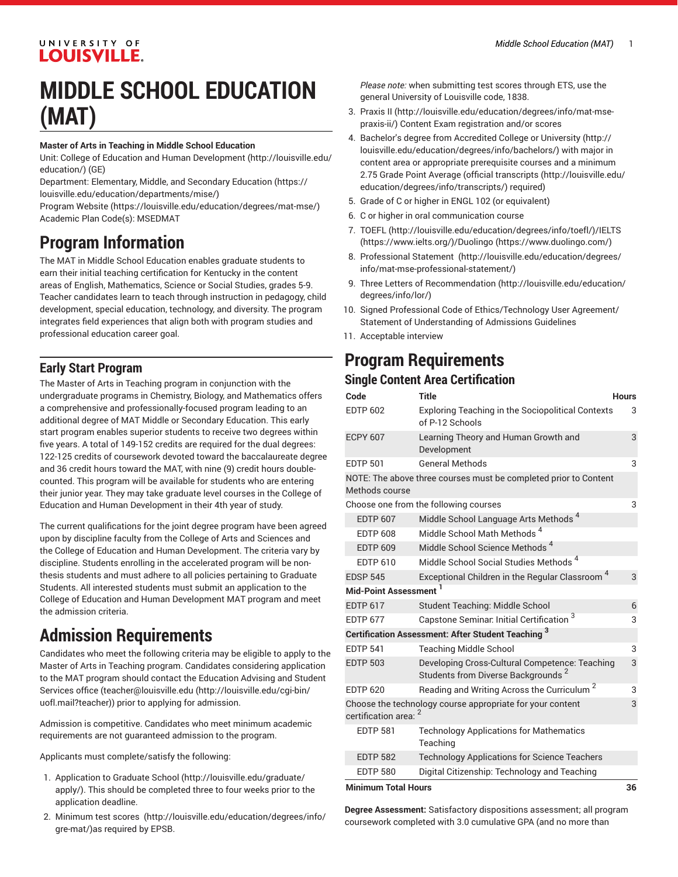## UNIVERSITY OF **LOUISVILLE.**

# **MIDDLE SCHOOL EDUCATION (MAT)**

#### **Master of Arts in Teaching in Middle School Education**

Unit: College of Education and Human [Development \(http://louisville.edu/](http://louisville.edu/education/) [education/](http://louisville.edu/education/)) (GE)

Department: [Elementary,](https://louisville.edu/education/departments/mise/) Middle, and Secondary Education ([https://](https://louisville.edu/education/departments/mise/) [louisville.edu/education/departments/mise/](https://louisville.edu/education/departments/mise/))

[Program](https://louisville.edu/education/degrees/mat-mse/) Website [\(https://louisville.edu/education/degrees/mat-mse/](https://louisville.edu/education/degrees/mat-mse/)) Academic Plan Code(s): MSEDMAT

# **Program Information**

The MAT in Middle School Education enables graduate students to earn their initial teaching certification for Kentucky in the content areas of English, Mathematics, Science or Social Studies, grades 5-9. Teacher candidates learn to teach through instruction in pedagogy, child development, special education, technology, and diversity. The program integrates field experiences that align both with program studies and professional education career goal.

## **Early Start Program**

The Master of Arts in Teaching program in conjunction with the undergraduate programs in Chemistry, Biology, and Mathematics offers a comprehensive and professionally-focused program leading to an additional degree of MAT Middle or Secondary Education. This early start program enables superior students to receive two degrees within five years. A total of 149-152 credits are required for the dual degrees: 122-125 credits of coursework devoted toward the baccalaureate degree and 36 credit hours toward the MAT, with nine (9) credit hours doublecounted. This program will be available for students who are entering their junior year. They may take graduate level courses in the College of Education and Human Development in their 4th year of study.

The current qualifications for the joint degree program have been agreed upon by discipline faculty from the College of Arts and Sciences and the College of Education and Human Development. The criteria vary by discipline. Students enrolling in the accelerated program will be nonthesis students and must adhere to all policies pertaining to Graduate Students. All interested students must submit an application to the College of Education and Human Development MAT program and meet the admission criteria.

# **Admission Requirements**

Candidates who meet the following criteria may be eligible to apply to the Master of Arts in Teaching program. Candidates considering application to the MAT program should contact the Education Advising and Student Services office ([teacher@louisville.edu \(http://louisville.edu/cgi-bin/](http://louisville.edu/cgi-bin/uofl.mail?teacher) [uofl.mail?teacher](http://louisville.edu/cgi-bin/uofl.mail?teacher))) prior to applying for admission.

Admission is competitive. Candidates who meet minimum academic requirements are not guaranteed admission to the program.

Applicants must complete/satisfy the following:

- 1. [Application to Graduate School](http://louisville.edu/graduate/apply/) ([http://louisville.edu/graduate/](http://louisville.edu/graduate/apply/) [apply/\)](http://louisville.edu/graduate/apply/). This should be completed three to four weeks prior to the application deadline.
- 2. Minimum test [scores](http://louisville.edu/education/degrees/info/gre-mat/) ([http://louisville.edu/education/degrees/info/](http://louisville.edu/education/degrees/info/gre-mat/) [gre-mat/](http://louisville.edu/education/degrees/info/gre-mat/))as required by EPSB.

*Please note:* when submitting test scores through ETS, use the general University of Louisville code, 1838.

- 3. [Praxis II](http://louisville.edu/education/degrees/info/mat-mse-praxis-ii/) ([http://louisville.edu/education/degrees/info/mat-mse](http://louisville.edu/education/degrees/info/mat-mse-praxis-ii/)[praxis-ii/\)](http://louisville.edu/education/degrees/info/mat-mse-praxis-ii/) Content Exam registration and/or scores
- 4. Bachelor's degree from [Accredited](http://louisville.edu/education/degrees/info/bachelors/) College or University [\(http://](http://louisville.edu/education/degrees/info/bachelors/) [louisville.edu/education/degrees/info/bachelors/\)](http://louisville.edu/education/degrees/info/bachelors/) with major in content area or appropriate prerequisite courses and a minimum 2.75 Grade Point Average [\(official transcripts \(http://louisville.edu/](http://louisville.edu/education/degrees/info/transcripts/) [education/degrees/info/transcripts/](http://louisville.edu/education/degrees/info/transcripts/)) required)
- 5. Grade of C or higher in ENGL 102 (or equivalent)
- 6. C or higher in oral communication course
- 7. [TOEFL](http://louisville.edu/education/degrees/info/toefl/) (<http://louisville.edu/education/degrees/info/toefl/>)[/IELTS](https://www.ielts.org/) [\(https://www.ielts.org/\)](https://www.ielts.org/)/[Duolingo \(https://www.duolingo.com/](https://www.duolingo.com/))
- 8. [Professional](http://louisville.edu/education/degrees/info/mat-mse-professional-statement/) Statement ([http://louisville.edu/education/degrees/](http://louisville.edu/education/degrees/info/mat-mse-professional-statement/) [info/mat-mse-professional-statement/](http://louisville.edu/education/degrees/info/mat-mse-professional-statement/))
- 9. Three [Letters of Recommendation](http://louisville.edu/education/degrees/info/lor/) ([http://louisville.edu/education/](http://louisville.edu/education/degrees/info/lor/) [degrees/info/lor/](http://louisville.edu/education/degrees/info/lor/))
- 10. Signed Professional Code of Ethics/Technology User Agreement/ Statement of Understanding of Admissions Guidelines
- 11. Acceptable interview

# **Program Requirements**

## **Single Content Area Certification**

| Code                                                      | Title                                                                                            | <b>Hours</b> |  |  |
|-----------------------------------------------------------|--------------------------------------------------------------------------------------------------|--------------|--|--|
| <b>EDTP 602</b>                                           | <b>Exploring Teaching in the Sociopolitical Contexts</b><br>of P-12 Schools                      | 3            |  |  |
| <b>ECPY 607</b>                                           | Learning Theory and Human Growth and<br>Development                                              | 3            |  |  |
| <b>EDTP 501</b>                                           | <b>General Methods</b>                                                                           | 3            |  |  |
| Methods course                                            | NOTE: The above three courses must be completed prior to Content                                 |              |  |  |
|                                                           | Choose one from the following courses                                                            | 3            |  |  |
| <b>EDTP 607</b>                                           | Middle School Language Arts Methods <sup>4</sup>                                                 |              |  |  |
| <b>EDTP 608</b>                                           | Middle School Math Methods <sup>4</sup>                                                          |              |  |  |
| <b>EDTP 609</b>                                           | Middle School Science Methods <sup>4</sup>                                                       |              |  |  |
| EDTP 610                                                  | Middle School Social Studies Methods <sup>4</sup>                                                |              |  |  |
| <b>EDSP 545</b>                                           | Exceptional Children in the Regular Classroom <sup>4</sup>                                       | 3            |  |  |
| Mid-Point Assessment <sup>1</sup>                         |                                                                                                  |              |  |  |
| <b>EDTP 617</b>                                           | Student Teaching: Middle School                                                                  | 6            |  |  |
| <b>EDTP 677</b>                                           | Capstone Seminar. Initial Certification $^3$                                                     | 3            |  |  |
| <b>Certification Assessment: After Student Teaching 3</b> |                                                                                                  |              |  |  |
| <b>EDTP 541</b>                                           | <b>Teaching Middle School</b>                                                                    | 3            |  |  |
| <b>EDTP 503</b>                                           | Developing Cross-Cultural Competence: Teaching<br>Students from Diverse Backgrounds <sup>2</sup> | 3            |  |  |
| <b>EDTP 620</b>                                           | Reading and Writing Across the Curriculum <sup>2</sup>                                           | 3            |  |  |
| certification area:                                       | Choose the technology course appropriate for your content                                        | 3            |  |  |
| <b>EDTP 581</b>                                           | <b>Technology Applications for Mathematics</b><br>Teaching                                       |              |  |  |
| <b>EDTP 582</b>                                           | <b>Technology Applications for Science Teachers</b>                                              |              |  |  |
| <b>EDTP 580</b>                                           | Digital Citizenship: Technology and Teaching                                                     |              |  |  |
|                                                           | <b>Minimum Total Hours</b><br>36                                                                 |              |  |  |

**Degree Assessment:** Satisfactory dispositions assessment; all program coursework completed with 3.0 cumulative GPA (and no more than